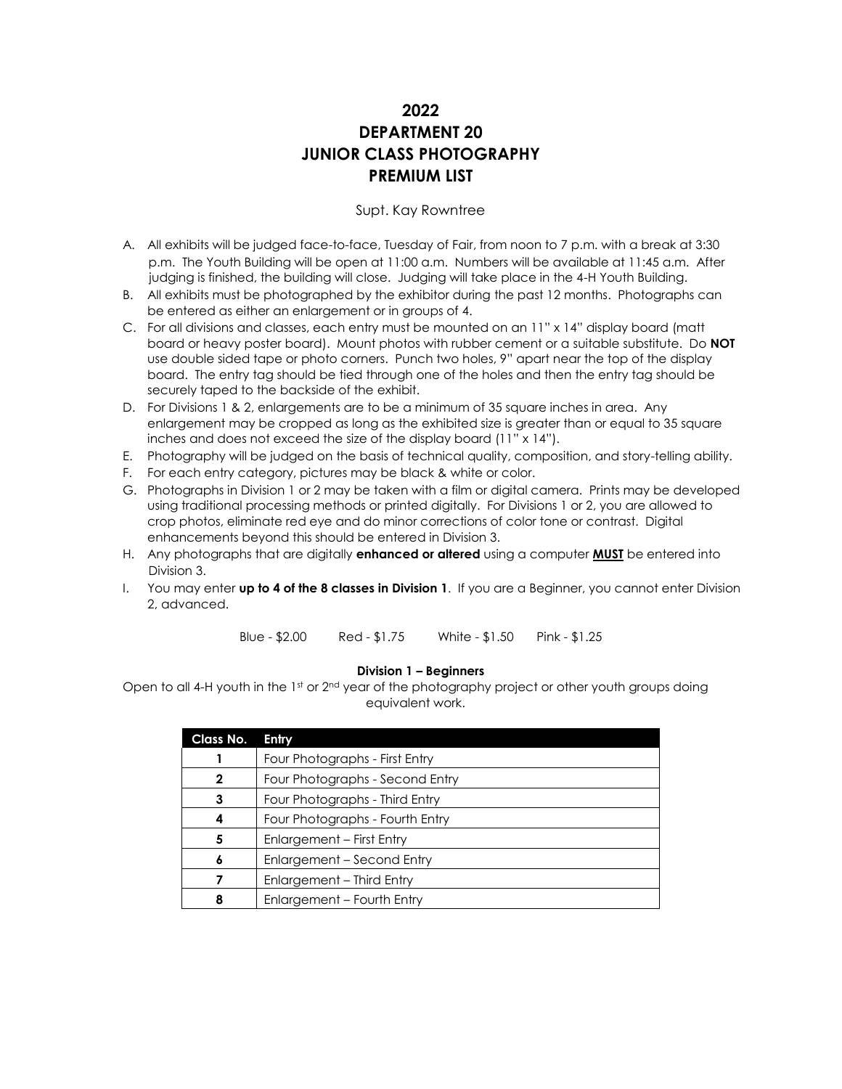# **2022 DEPARTMENT 20 JUNIOR CLASS PHOTOGRAPHY PREMIUM LIST**

### Supt. Kay Rowntree

- A. All exhibits will be judged face-to-face, Tuesday of Fair, from noon to 7 p.m. with a break at 3:30 p.m. The Youth Building will be open at 11:00 a.m. Numbers will be available at 11:45 a.m. After judging is finished, the building will close. Judging will take place in the 4-H Youth Building.
- B. All exhibits must be photographed by the exhibitor during the past 12 months. Photographs can be entered as either an enlargement or in groups of 4.
- C. For all divisions and classes, each entry must be mounted on an 11" x 14" display board (matt board or heavy poster board). Mount photos with rubber cement or a suitable substitute. Do **NOT**  use double sided tape or photo corners. Punch two holes, 9" apart near the top of the display board. The entry tag should be tied through one of the holes and then the entry tag should be securely taped to the backside of the exhibit.
- D. For Divisions 1 & 2, enlargements are to be a minimum of 35 square inches in area. Any enlargement may be cropped as long as the exhibited size is greater than or equal to 35 square inches and does not exceed the size of the display board (11" x 14").
- E. Photography will be judged on the basis of technical quality, composition, and story-telling ability.
- F. For each entry category, pictures may be black & white or color.
- G. Photographs in Division 1 or 2 may be taken with a film or digital camera. Prints may be developed using traditional processing methods or printed digitally. For Divisions 1 or 2, you are allowed to crop photos, eliminate red eye and do minor corrections of color tone or contrast. Digital enhancements beyond this should be entered in Division 3.
- H. Any photographs that are digitally **enhanced or altered** using a computer **MUST** be entered into Division 3.
- I. You may enter **up to 4 of the 8 classes in Division 1**. If you are a Beginner, you cannot enter Division 2, advanced.

Blue - \$2.00 Red - \$1.75 White - \$1.50 Pink - \$1.25

#### **Division 1 – Beginners**

Open to all 4-H youth in the 1st or 2<sup>nd</sup> year of the photography project or other youth groups doing equivalent work.

| <b>Class No.</b> | Entry                           |
|------------------|---------------------------------|
|                  | Four Photographs - First Entry  |
| 2                | Four Photographs - Second Entry |
| 3                | Four Photographs - Third Entry  |
| 4                | Four Photographs - Fourth Entry |
| 5                | Enlargement - First Entry       |
| 6                | Enlargement - Second Entry      |
|                  | Enlargement - Third Entry       |
| 8                | Enlargement - Fourth Entry      |